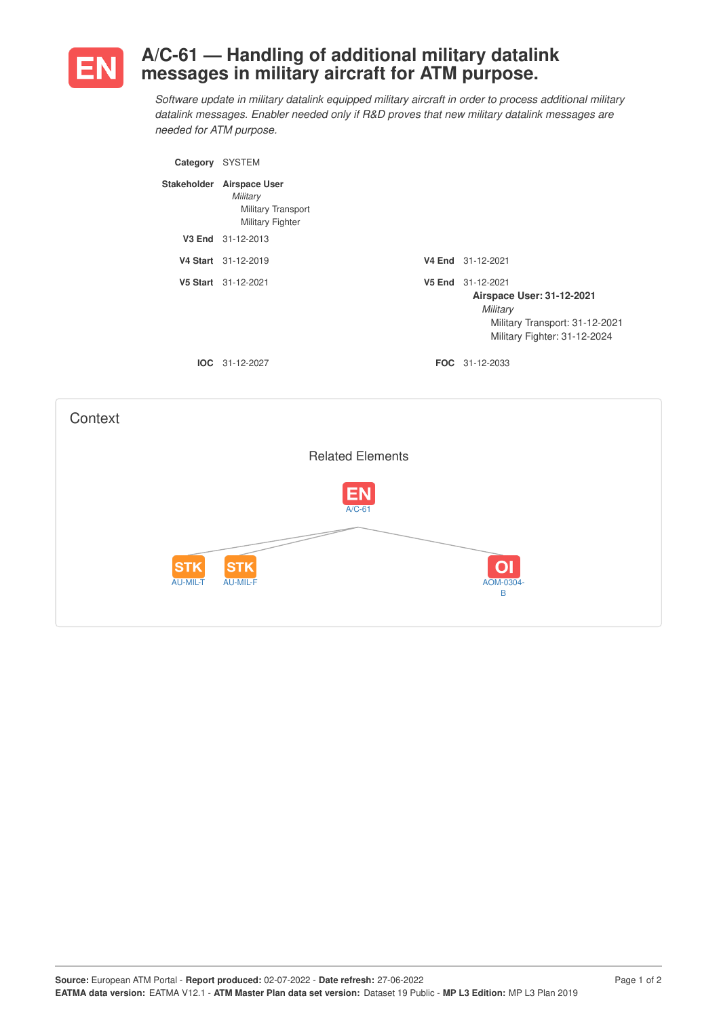

## **A/C-61 — Handling of additional military datalink messages in military aircraft for ATM purpose.**

*Software update in military datalink equipped military aircraft in order to process additional military datalink messages. Enabler needed only if R&D proves that new military datalink messages are needed for ATM purpose.*

| Category | <b>SYSTEM</b>                                                                          |                    |                                                                                                                       |
|----------|----------------------------------------------------------------------------------------|--------------------|-----------------------------------------------------------------------------------------------------------------------|
|          | Stakeholder Airspace User<br>Military<br>Military Transport<br><b>Military Fighter</b> |                    |                                                                                                                       |
|          | V3 End 31-12-2013                                                                      |                    |                                                                                                                       |
|          | V4 Start 31-12-2019                                                                    | V4 End             | 31-12-2021                                                                                                            |
|          | V5 Start 31-12-2021                                                                    | V <sub>5</sub> End | 31-12-2021<br>Airspace User: 31-12-2021<br>Military<br>Military Transport: 31-12-2021<br>Military Fighter: 31-12-2024 |
|          | $IOC 31-12-2027$                                                                       |                    | <b>FOC</b> 31-12-2033                                                                                                 |